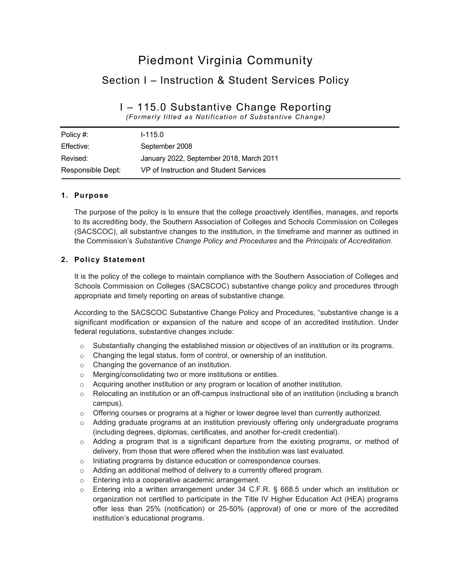# Piedmont Virginia Community Section I – Instruction & Student Services Policy

# I – 115.0 Substantive Change Reporting

*(Formerly titled as Notification of Substantive Change)*

| Policy #:         | $1 - 115.0$                              |
|-------------------|------------------------------------------|
| Effective:        | September 2008                           |
| Revised:          | January 2022, September 2018, March 2011 |
| Responsible Dept: | VP of Instruction and Student Services   |

### **1. Purpose**

The purpose of the policy is to ensure that the college proactively identifies, manages, and reports to its accrediting body, the Southern Association of Colleges and Schools Commission on Colleges (SACSCOC), all substantive changes to the institution, in the timeframe and manner as outlined in the Commission's *Substantive Change Policy and Procedures* and the *Principals of Accreditation*.

### **2. Policy Statement**

It is the policy of the college to maintain compliance with the Southern Association of Colleges and Schools Commission on Colleges (SACSCOC) substantive change policy and procedures through appropriate and timely reporting on areas of substantive change.

According to the SACSCOC Substantive Change Policy and Procedures, "substantive change is a significant modification or expansion of the nature and scope of an accredited institution. Under federal regulations, substantive changes include:

- $\circ$  Substantially changing the established mission or objectives of an institution or its programs.
- o Changing the legal status, form of control, or ownership of an institution.
- o Changing the governance of an institution.
- o Merging/consolidating two or more institutions or entities.
- $\circ$  Acquiring another institution or any program or location of another institution.
- $\circ$  Relocating an institution or an off-campus instructional site of an institution (including a branch campus).
- $\circ$  Offering courses or programs at a higher or lower degree level than currently authorized.
- o Adding graduate programs at an institution previously offering only undergraduate programs (including degrees, diplomas, certificates, and another for-credit credential).
- $\circ$  Adding a program that is a significant departure from the existing programs, or method of delivery, from those that were offered when the institution was last evaluated.
- o Initiating programs by distance education or correspondence courses.
- o Adding an additional method of delivery to a currently offered program.
- o Entering into a cooperative academic arrangement.
- $\circ$  Entering into a written arrangement under 34 C.F.R. § 668.5 under which an institution or organization not certified to participate in the Title IV Higher Education Act (HEA) programs offer less than 25% (notification) or 25-50% (approval) of one or more of the accredited institution's educational programs.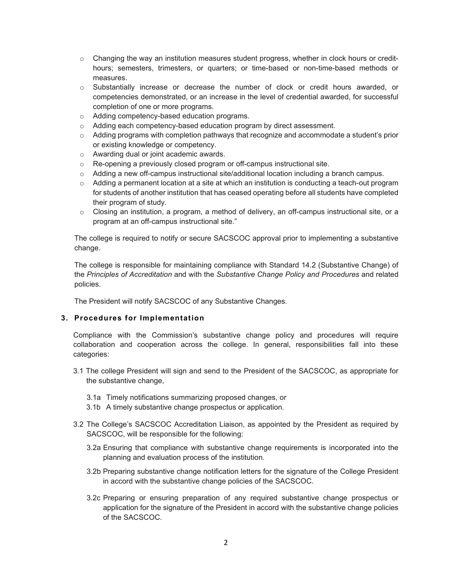- $\circ$  Changing the way an institution measures student progress, whether in clock hours or credithours; semesters, trimesters, or quarters; or time-based or non-time-based methods or measures.
- o Substantially increase or decrease the number of clock or credit hours awarded, or competencies demonstrated, or an increase in the level of credential awarded, for successful completion of one or more programs.
- o Adding competency-based education programs.
- o Adding each competency-based education program by direct assessment.
- $\circ$  Adding programs with completion pathways that recognize and accommodate a student's prior or existing knowledge or competency.
- o Awarding dual or joint academic awards.
- o Re-opening a previously closed program or off-campus instructional site.
- $\circ$  Adding a new off-campus instructional site/additional location including a branch campus.
- $\circ$  Adding a permanent location at a site at which an institution is conducting a teach-out program for students of another institution that has ceased operating before all students have completed their program of study.
- $\circ$  Closing an institution, a program, a method of delivery, an off-campus instructional site, or a program at an off-campus instructional site."

The college is required to notify or secure SACSCOC approval prior to implementing a substantive change.

The college is responsible for maintaining compliance with Standard 14.2 (Substantive Change) of the *Principles of Accreditation* and with the *Substantive Change Policy and Procedures* and related policies.

The President will notify SACSCOC of any Substantive Changes.

#### **3. Procedures for Implementation**

Compliance with the Commission's substantive change policy and procedures will require collaboration and cooperation across the college. In general, responsibilities fall into these categories:

- 3.1 The college President will sign and send to the President of the SACSCOC, as appropriate for the substantive change,
	- 3.1a Timely notifications summarizing proposed changes, or
	- 3.1b A timely substantive change prospectus or application.
- 3.2 The College's SACSCOC Accreditation Liaison, as appointed by the President as required by SACSCOC, will be responsible for the following:
	- 3.2a Ensuring that compliance with substantive change requirements is incorporated into the planning and evaluation process of the institution.
	- 3.2b Preparing substantive change notification letters for the signature of the College President in accord with the substantive change policies of the SACSCOC.
	- 3.2c Preparing or ensuring preparation of any required substantive change prospectus or application for the signature of the President in accord with the substantive change policies of the SACSCOC.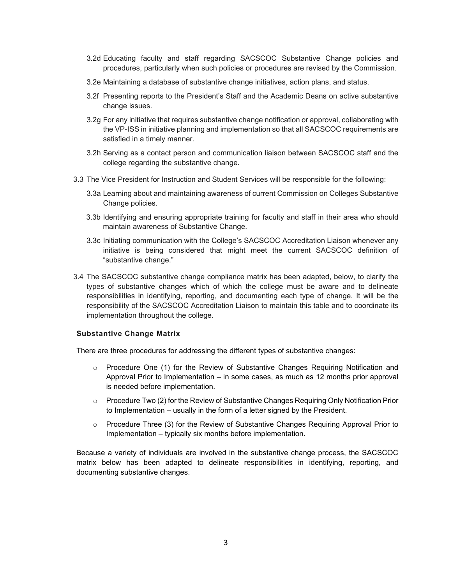- 3.2d Educating faculty and staff regarding SACSCOC Substantive Change policies and procedures, particularly when such policies or procedures are revised by the Commission.
- 3.2e Maintaining a database of substantive change initiatives, action plans, and status.
- 3.2f Presenting reports to the President's Staff and the Academic Deans on active substantive change issues.
- 3.2g For any initiative that requires substantive change notification or approval, collaborating with the VP-ISS in initiative planning and implementation so that all SACSCOC requirements are satisfied in a timely manner.
- 3.2h Serving as a contact person and communication liaison between SACSCOC staff and the college regarding the substantive change.
- 3.3 The Vice President for Instruction and Student Services will be responsible for the following:
	- 3.3a Learning about and maintaining awareness of current Commission on Colleges Substantive Change policies.
	- 3.3b Identifying and ensuring appropriate training for faculty and staff in their area who should maintain awareness of Substantive Change.
	- 3.3c Initiating communication with the College's SACSCOC Accreditation Liaison whenever any initiative is being considered that might meet the current SACSCOC definition of "substantive change."
- 3.4 The SACSCOC substantive change compliance matrix has been adapted, below, to clarify the types of substantive changes which of which the college must be aware and to delineate responsibilities in identifying, reporting, and documenting each type of change. It will be the responsibility of the SACSCOC Accreditation Liaison to maintain this table and to coordinate its implementation throughout the college.

#### **Substantive Change Matrix**

There are three procedures for addressing the different types of substantive changes:

- $\circ$  Procedure One (1) for the Review of Substantive Changes Requiring Notification and Approval Prior to Implementation – in some cases, as much as 12 months prior approval is needed before implementation.
- o Procedure Two (2) for the Review of Substantive Changes Requiring Only Notification Prior to Implementation – usually in the form of a letter signed by the President.
- $\circ$  Procedure Three (3) for the Review of Substantive Changes Requiring Approval Prior to Implementation – typically six months before implementation.

Because a variety of individuals are involved in the substantive change process, the SACSCOC matrix below has been adapted to delineate responsibilities in identifying, reporting, and documenting substantive changes.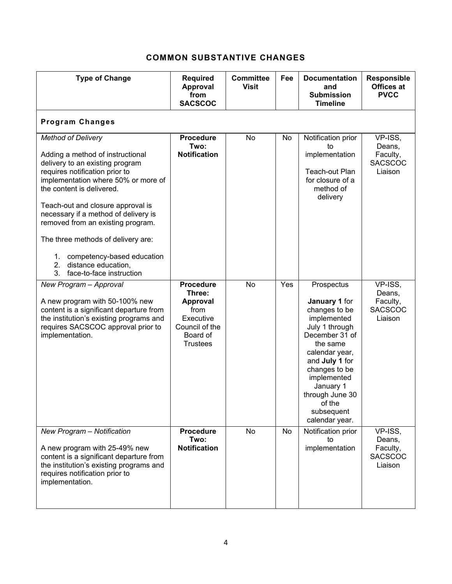# **COMMON SUBSTANTIVE CHANGES**

| <b>Type of Change</b>                                                                                                                                                                                                                                                                                                                                                                                                                                             | <b>Required</b><br>Approval<br>from<br><b>SACSCOC</b>                                                               | <b>Committee</b><br><b>Visit</b> | Fee | <b>Documentation</b><br>and<br><b>Submission</b><br><b>Timeline</b>                                                                                                                                                                                       | <b>Responsible</b><br>Offices at<br><b>PVCC</b>            |
|-------------------------------------------------------------------------------------------------------------------------------------------------------------------------------------------------------------------------------------------------------------------------------------------------------------------------------------------------------------------------------------------------------------------------------------------------------------------|---------------------------------------------------------------------------------------------------------------------|----------------------------------|-----|-----------------------------------------------------------------------------------------------------------------------------------------------------------------------------------------------------------------------------------------------------------|------------------------------------------------------------|
| <b>Program Changes</b>                                                                                                                                                                                                                                                                                                                                                                                                                                            |                                                                                                                     |                                  |     |                                                                                                                                                                                                                                                           |                                                            |
| <b>Method of Delivery</b><br>Adding a method of instructional<br>delivery to an existing program<br>requires notification prior to<br>implementation where 50% or more of<br>the content is delivered.<br>Teach-out and closure approval is<br>necessary if a method of delivery is<br>removed from an existing program.<br>The three methods of delivery are:<br>competency-based education<br>1.<br>2.<br>distance education,<br>3.<br>face-to-face instruction | <b>Procedure</b><br>Two:<br><b>Notification</b>                                                                     | No                               | No  | Notification prior<br>to<br>implementation<br>Teach-out Plan<br>for closure of a<br>method of<br>delivery                                                                                                                                                 | VP-ISS,<br>Deans,<br>Faculty,<br><b>SACSCOC</b><br>Liaison |
| New Program - Approval<br>A new program with 50-100% new<br>content is a significant departure from<br>the institution's existing programs and<br>requires SACSCOC approval prior to<br>implementation.                                                                                                                                                                                                                                                           | <b>Procedure</b><br>Three:<br><b>Approval</b><br>from<br>Executive<br>Council of the<br>Board of<br><b>Trustees</b> | <b>No</b>                        | Yes | Prospectus<br>January 1 for<br>changes to be<br>implemented<br>July 1 through<br>December 31 of<br>the same<br>calendar year,<br>and July 1 for<br>changes to be<br>implemented<br>January 1<br>through June 30<br>of the<br>subsequent<br>calendar year. | VP-ISS.<br>Deans,<br>Faculty,<br><b>SACSCOC</b><br>Liaison |
| New Program - Notification<br>A new program with 25-49% new<br>content is a significant departure from<br>the institution's existing programs and<br>requires notification prior to<br>implementation.                                                                                                                                                                                                                                                            | <b>Procedure</b><br>Two:<br><b>Notification</b>                                                                     | No                               | No  | Notification prior<br>to<br>implementation                                                                                                                                                                                                                | VP-ISS,<br>Deans,<br>Faculty,<br><b>SACSCOC</b><br>Liaison |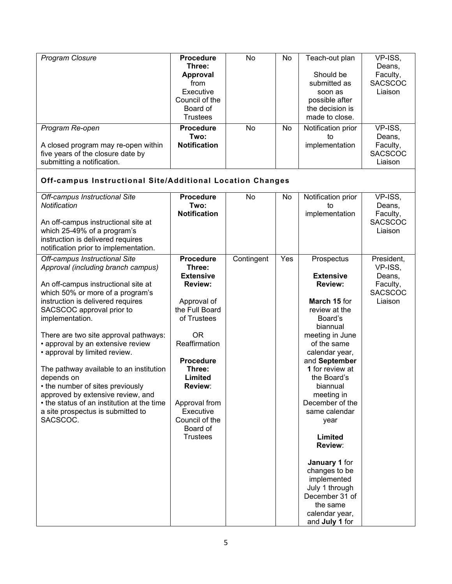| <b>Program Closure</b>                                                                                                                                                                                                                                                                                                                                                                                                                                                                                                                                                              | <b>Procedure</b><br>Three:<br><b>Approval</b><br>from<br>Executive<br>Council of the<br>Board of<br><b>Trustees</b>                                                                                                                                                               | No         | No  | Teach-out plan<br>Should be<br>submitted as<br>soon as<br>possible after<br>the decision is<br>made to close.                                                                                                                                                                                                                                                                                                                                    | VP-ISS,<br>Deans,<br>Faculty,<br><b>SACSCOC</b><br>Liaison               |
|-------------------------------------------------------------------------------------------------------------------------------------------------------------------------------------------------------------------------------------------------------------------------------------------------------------------------------------------------------------------------------------------------------------------------------------------------------------------------------------------------------------------------------------------------------------------------------------|-----------------------------------------------------------------------------------------------------------------------------------------------------------------------------------------------------------------------------------------------------------------------------------|------------|-----|--------------------------------------------------------------------------------------------------------------------------------------------------------------------------------------------------------------------------------------------------------------------------------------------------------------------------------------------------------------------------------------------------------------------------------------------------|--------------------------------------------------------------------------|
| Program Re-open<br>A closed program may re-open within<br>five years of the closure date by<br>submitting a notification.                                                                                                                                                                                                                                                                                                                                                                                                                                                           | <b>Procedure</b><br>Two:<br><b>Notification</b>                                                                                                                                                                                                                                   | No         | No  | Notification prior<br>to<br>implementation                                                                                                                                                                                                                                                                                                                                                                                                       | VP-ISS,<br>Deans,<br>Faculty,<br><b>SACSCOC</b><br>Liaison               |
| Off-campus Instructional Site/Additional Location Changes                                                                                                                                                                                                                                                                                                                                                                                                                                                                                                                           |                                                                                                                                                                                                                                                                                   |            |     |                                                                                                                                                                                                                                                                                                                                                                                                                                                  |                                                                          |
| Off-campus Instructional Site<br>Notification<br>An off-campus instructional site at<br>which 25-49% of a program's<br>instruction is delivered requires<br>notification prior to implementation.                                                                                                                                                                                                                                                                                                                                                                                   | <b>Procedure</b><br>Two:<br><b>Notification</b>                                                                                                                                                                                                                                   | No         | No  | Notification prior<br>to<br>implementation                                                                                                                                                                                                                                                                                                                                                                                                       | VP-ISS,<br>Deans,<br>Faculty,<br><b>SACSCOC</b><br>Liaison               |
| Off-campus Instructional Site<br>Approval (including branch campus)<br>An off-campus instructional site at<br>which 50% or more of a program's<br>instruction is delivered requires<br>SACSCOC approval prior to<br>implementation.<br>There are two site approval pathways:<br>• approval by an extensive review<br>• approval by limited review.<br>The pathway available to an institution<br>depends on<br>• the number of sites previously<br>approved by extensive review, and<br>• the status of an institution at the time<br>a site prospectus is submitted to<br>SACSCOC. | <b>Procedure</b><br>Three:<br><b>Extensive</b><br><b>Review:</b><br>Approval of<br>the Full Board<br>of Trustees<br><b>OR</b><br>Reaffirmation<br><b>Procedure</b><br>Three:<br>Limited<br>Review:<br>Approval from<br>Executive<br>Council of the<br>Board of<br><b>Trustees</b> | Contingent | Yes | Prospectus<br><b>Extensive</b><br><b>Review:</b><br>March 15 for<br>review at the<br>Board's<br>biannual<br>meeting in June<br>of the same<br>calendar year,<br>and September<br>1 for review at<br>the Board's<br>biannual<br>meeting in<br>December of the<br>same calendar<br>year<br>Limited<br>Review:<br>January 1 for<br>changes to be<br>implemented<br>July 1 through<br>December 31 of<br>the same<br>calendar year,<br>and July 1 for | President,<br>VP-ISS,<br>Deans,<br>Faculty,<br><b>SACSCOC</b><br>Liaison |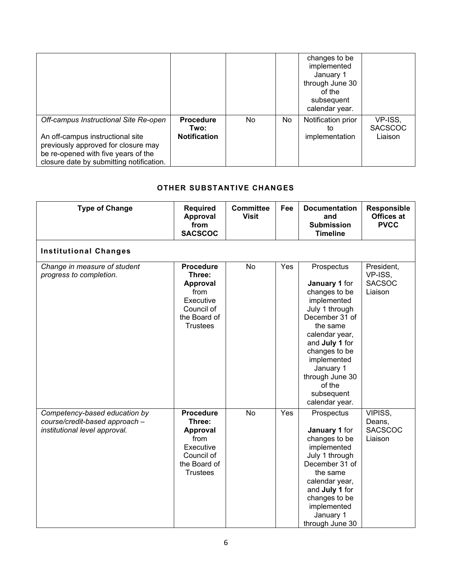|                                                                                                                                                            |                          |     |    | changes to be<br>implemented<br>January 1<br>through June 30<br>of the<br>subsequent<br>calendar year. |                           |
|------------------------------------------------------------------------------------------------------------------------------------------------------------|--------------------------|-----|----|--------------------------------------------------------------------------------------------------------|---------------------------|
| Off-campus Instructional Site Re-open                                                                                                                      | <b>Procedure</b><br>Two: | No. | No | Notification prior<br>to                                                                               | VP-ISS,<br><b>SACSCOC</b> |
| An off-campus instructional site<br>previously approved for closure may<br>be re-opened with five years of the<br>closure date by submitting notification. | <b>Notification</b>      |     |    | implementation                                                                                         | Liaison                   |

### **OTHER SUBSTANTIVE CHANGES**

| <b>Type of Change</b>                                                                            | <b>Required</b><br>Approval<br>from<br><b>SACSCOC</b>                                                               | <b>Committee</b><br><b>Visit</b> | Fee | <b>Documentation</b><br>and<br><b>Submission</b><br><b>Timeline</b>                                                                                                                                                                                       | <b>Responsible</b><br>Offices at<br><b>PVCC</b>   |
|--------------------------------------------------------------------------------------------------|---------------------------------------------------------------------------------------------------------------------|----------------------------------|-----|-----------------------------------------------------------------------------------------------------------------------------------------------------------------------------------------------------------------------------------------------------------|---------------------------------------------------|
| <b>Institutional Changes</b>                                                                     |                                                                                                                     |                                  |     |                                                                                                                                                                                                                                                           |                                                   |
| Change in measure of student<br>progress to completion.                                          | <b>Procedure</b><br>Three:<br><b>Approval</b><br>from<br>Executive<br>Council of<br>the Board of<br><b>Trustees</b> | No                               | Yes | Prospectus<br>January 1 for<br>changes to be<br>implemented<br>July 1 through<br>December 31 of<br>the same<br>calendar year,<br>and July 1 for<br>changes to be<br>implemented<br>January 1<br>through June 30<br>of the<br>subsequent<br>calendar year. | President,<br>VP-ISS,<br><b>SACSOC</b><br>Liaison |
| Competency-based education by<br>course/credit-based approach -<br>institutional level approval. | <b>Procedure</b><br>Three:<br><b>Approval</b><br>from<br>Executive<br>Council of<br>the Board of<br><b>Trustees</b> | No                               | Yes | Prospectus<br>January 1 for<br>changes to be<br>implemented<br>July 1 through<br>December 31 of<br>the same<br>calendar year,<br>and July 1 for<br>changes to be<br>implemented<br>January 1<br>through June 30                                           | VIPISS,<br>Deans,<br><b>SACSCOC</b><br>Liaison    |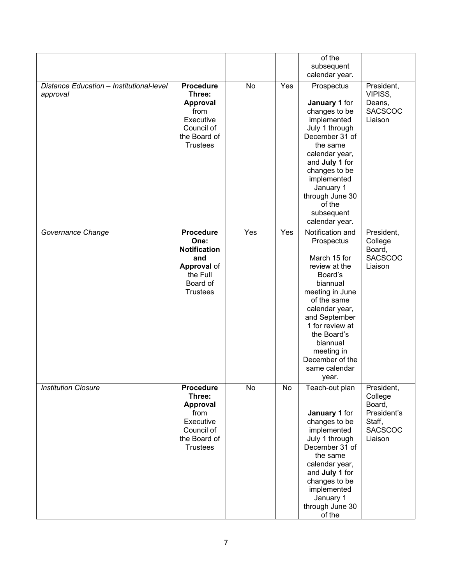|                                                      |                                                                                                                         |     |     | of the<br>subsequent                                                                                                                                                                                                                                                 |                                                                                       |
|------------------------------------------------------|-------------------------------------------------------------------------------------------------------------------------|-----|-----|----------------------------------------------------------------------------------------------------------------------------------------------------------------------------------------------------------------------------------------------------------------------|---------------------------------------------------------------------------------------|
|                                                      |                                                                                                                         |     |     | calendar year.                                                                                                                                                                                                                                                       |                                                                                       |
| Distance Education - Institutional-level<br>approval | <b>Procedure</b><br>Three:<br><b>Approval</b><br>from<br>Executive<br>Council of<br>the Board of<br><b>Trustees</b>     | No  | Yes | Prospectus<br>January 1 for<br>changes to be<br>implemented<br>July 1 through<br>December 31 of<br>the same<br>calendar year,<br>and July 1 for<br>changes to be<br>implemented<br>January 1<br>through June 30<br>of the<br>subsequent<br>calendar year.            | President,<br>VIPISS,<br>Deans,<br><b>SACSCOC</b><br>Liaison                          |
| Governance Change                                    | <b>Procedure</b><br>One:<br><b>Notification</b><br>and<br><b>Approval of</b><br>the Full<br>Board of<br><b>Trustees</b> | Yes | Yes | Notification and<br>Prospectus<br>March 15 for<br>review at the<br>Board's<br>biannual<br>meeting in June<br>of the same<br>calendar year,<br>and September<br>1 for review at<br>the Board's<br>biannual<br>meeting in<br>December of the<br>same calendar<br>year. | President,<br>College<br>Board,<br><b>SACSCOC</b><br>Liaison                          |
| <b>Institution Closure</b>                           | <b>Procedure</b><br>Three:<br>Approval<br>from<br>Executive<br>Council of<br>the Board of<br><b>Trustees</b>            | No  | No  | Teach-out plan<br>January 1 for<br>changes to be<br>implemented<br>July 1 through<br>December 31 of<br>the same<br>calendar year,<br>and July 1 for<br>changes to be<br>implemented<br>January 1<br>through June 30<br>of the                                        | President,<br>College<br>Board,<br>President's<br>Staff,<br><b>SACSCOC</b><br>Liaison |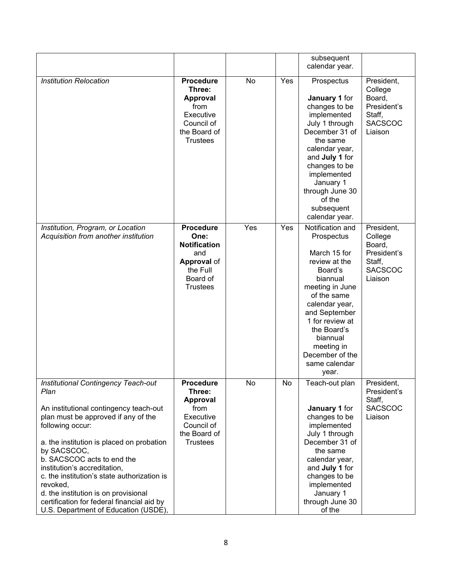|                                                                                                                                                                                                                                                                                                                                                                                                                                                                            |                                                                                                                         |     |     | subsequent<br>calendar year.                                                                                                                                                                                                                                         |                                                                                       |
|----------------------------------------------------------------------------------------------------------------------------------------------------------------------------------------------------------------------------------------------------------------------------------------------------------------------------------------------------------------------------------------------------------------------------------------------------------------------------|-------------------------------------------------------------------------------------------------------------------------|-----|-----|----------------------------------------------------------------------------------------------------------------------------------------------------------------------------------------------------------------------------------------------------------------------|---------------------------------------------------------------------------------------|
| <b>Institution Relocation</b>                                                                                                                                                                                                                                                                                                                                                                                                                                              | <b>Procedure</b><br>Three:<br><b>Approval</b><br>from<br>Executive<br>Council of<br>the Board of<br><b>Trustees</b>     | No  | Yes | Prospectus<br>January 1 for<br>changes to be<br>implemented<br>July 1 through<br>December 31 of<br>the same<br>calendar year,<br>and July 1 for<br>changes to be<br>implemented<br>January 1<br>through June 30<br>of the<br>subsequent<br>calendar year.            | President,<br>College<br>Board,<br>President's<br>Staff,<br><b>SACSCOC</b><br>Liaison |
| Institution, Program, or Location<br>Acquisition from another institution                                                                                                                                                                                                                                                                                                                                                                                                  | <b>Procedure</b><br>One:<br><b>Notification</b><br>and<br><b>Approval of</b><br>the Full<br>Board of<br><b>Trustees</b> | Yes | Yes | Notification and<br>Prospectus<br>March 15 for<br>review at the<br>Board's<br>biannual<br>meeting in June<br>of the same<br>calendar year,<br>and September<br>1 for review at<br>the Board's<br>biannual<br>meeting in<br>December of the<br>same calendar<br>year. | President,<br>College<br>Board,<br>President's<br>Staff,<br><b>SACSCOC</b><br>Liaison |
| <b>Institutional Contingency Teach-out</b><br>Plan<br>An institutional contingency teach-out<br>plan must be approved if any of the<br>following occur:<br>a. the institution is placed on probation<br>by SACSCOC,<br>b. SACSCOC acts to end the<br>institution's accreditation,<br>c. the institution's state authorization is<br>revoked,<br>d. the institution is on provisional<br>certification for federal financial aid by<br>U.S. Department of Education (USDE), | <b>Procedure</b><br>Three:<br><b>Approval</b><br>from<br>Executive<br>Council of<br>the Board of<br><b>Trustees</b>     | No  | No  | Teach-out plan<br>January 1 for<br>changes to be<br>implemented<br>July 1 through<br>December 31 of<br>the same<br>calendar year,<br>and July 1 for<br>changes to be<br>implemented<br>January 1<br>through June 30<br>of the                                        | President,<br>President's<br>Staff,<br><b>SACSCOC</b><br>Liaison                      |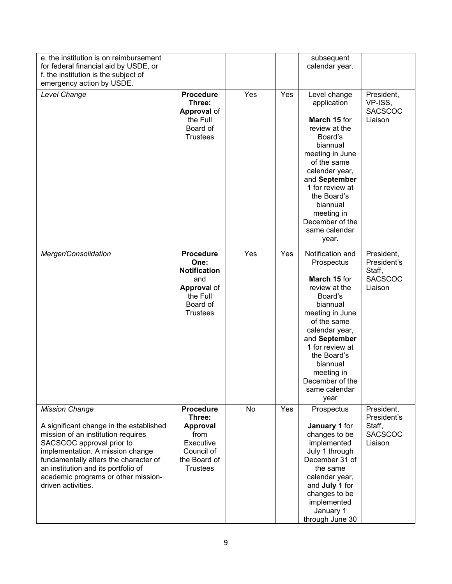| e. the institution is on reimbursement<br>for federal financial aid by USDE, or<br>f. the institution is the subject of                                                                                                                                                                                              |                                                                                                                  |     |     | subsequent<br>calendar year.                                                                                                                                                                                                                                        |                                                                  |
|----------------------------------------------------------------------------------------------------------------------------------------------------------------------------------------------------------------------------------------------------------------------------------------------------------------------|------------------------------------------------------------------------------------------------------------------|-----|-----|---------------------------------------------------------------------------------------------------------------------------------------------------------------------------------------------------------------------------------------------------------------------|------------------------------------------------------------------|
| emergency action by USDE.<br>Level Change                                                                                                                                                                                                                                                                            | <b>Procedure</b><br>Three:<br><b>Approval of</b><br>the Full<br>Board of<br><b>Trustees</b>                      | Yes | Yes | Level change<br>application<br>March 15 for<br>review at the<br>Board's<br>biannual<br>meeting in June<br>of the same<br>calendar year,<br>and September<br>1 for review at<br>the Board's<br>biannual<br>meeting in<br>December of the<br>same calendar<br>year.   | President,<br>VP-ISS,<br><b>SACSCOC</b><br>Liaison               |
| Merger/Consolidation                                                                                                                                                                                                                                                                                                 | <b>Procedure</b><br>One:<br><b>Notification</b><br>and<br>Approval of<br>the Full<br>Board of<br><b>Trustees</b> | Yes | Yes | Notification and<br>Prospectus<br>March 15 for<br>review at the<br>Board's<br>biannual<br>meeting in June<br>of the same<br>calendar year,<br>and September<br>1 for review at<br>the Board's<br>biannual<br>meeting in<br>December of the<br>same calendar<br>year | President,<br>President's<br>Staff,<br><b>SACSCOC</b><br>Liaison |
| <b>Mission Change</b><br>A significant change in the established<br>mission of an institution requires<br>SACSCOC approval prior to<br>implementation. A mission change<br>fundamentally alters the character of<br>an institution and its portfolio of<br>academic programs or other mission-<br>driven activities. | Procedure<br>Three:<br><b>Approval</b><br>from<br>Executive<br>Council of<br>the Board of<br><b>Trustees</b>     | No  | Yes | Prospectus<br>January 1 for<br>changes to be<br>implemented<br>July 1 through<br>December 31 of<br>the same<br>calendar year,<br>and July 1 for<br>changes to be<br>implemented<br>January 1<br>through June 30                                                     | President,<br>President's<br>Staff,<br><b>SACSCOC</b><br>Liaison |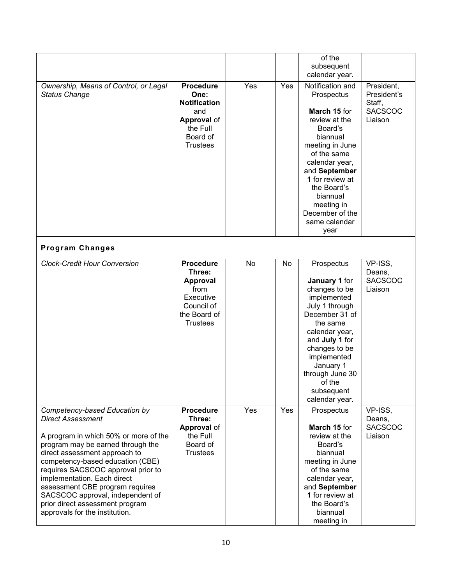|                                                                                                                                                                                                                                                                                                                                                                                                                               |                                                                                                                         |     |     | of the<br>subsequent<br>calendar year.                                                                                                                                                                                                                              |                                                                  |
|-------------------------------------------------------------------------------------------------------------------------------------------------------------------------------------------------------------------------------------------------------------------------------------------------------------------------------------------------------------------------------------------------------------------------------|-------------------------------------------------------------------------------------------------------------------------|-----|-----|---------------------------------------------------------------------------------------------------------------------------------------------------------------------------------------------------------------------------------------------------------------------|------------------------------------------------------------------|
| Ownership, Means of Control, or Legal<br><b>Status Change</b>                                                                                                                                                                                                                                                                                                                                                                 | <b>Procedure</b><br>One:<br><b>Notification</b><br>and<br><b>Approval of</b><br>the Full<br>Board of<br><b>Trustees</b> | Yes | Yes | Notification and<br>Prospectus<br>March 15 for<br>review at the<br>Board's<br>biannual<br>meeting in June<br>of the same<br>calendar year,<br>and September<br>1 for review at<br>the Board's<br>biannual<br>meeting in<br>December of the<br>same calendar<br>year | President,<br>President's<br>Staff,<br><b>SACSCOC</b><br>Liaison |
| <b>Program Changes</b>                                                                                                                                                                                                                                                                                                                                                                                                        |                                                                                                                         |     |     |                                                                                                                                                                                                                                                                     |                                                                  |
| <b>Clock-Credit Hour Conversion</b>                                                                                                                                                                                                                                                                                                                                                                                           | <b>Procedure</b><br>Three:<br><b>Approval</b><br>from<br>Executive<br>Council of<br>the Board of<br><b>Trustees</b>     | No  | No  | Prospectus<br>January 1 for<br>changes to be<br>implemented<br>July 1 through<br>December 31 of<br>the same<br>calendar year,<br>and July 1 for<br>changes to be<br>implemented<br>January 1<br>through June 30<br>of the<br>subsequent<br>calendar year.           | VP-ISS,<br>Deans,<br><b>SACSCOC</b><br>Liaison                   |
| Competency-based Education by<br><b>Direct Assessment</b><br>A program in which 50% or more of the<br>program may be earned through the<br>direct assessment approach to<br>competency-based education (CBE)<br>requires SACSCOC approval prior to<br>implementation. Each direct<br>assessment CBE program requires<br>SACSCOC approval, independent of<br>prior direct assessment program<br>approvals for the institution. | <b>Procedure</b><br>Three:<br><b>Approval of</b><br>the Full<br>Board of<br><b>Trustees</b>                             | Yes | Yes | Prospectus<br>March 15 for<br>review at the<br>Board's<br>biannual<br>meeting in June<br>of the same<br>calendar year,<br>and September<br>1 for review at<br>the Board's<br>biannual<br>meeting in                                                                 | VP-ISS,<br>Deans,<br><b>SACSCOC</b><br>Liaison                   |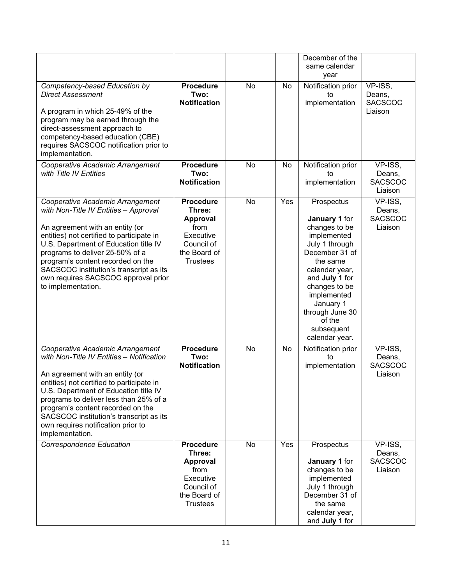|                                                                                                                                                                                                                                                                                                                                                                                           |                                                                                                                     |    |     | December of the<br>same calendar<br>year                                                                                                                                                                                                                  |                                                |
|-------------------------------------------------------------------------------------------------------------------------------------------------------------------------------------------------------------------------------------------------------------------------------------------------------------------------------------------------------------------------------------------|---------------------------------------------------------------------------------------------------------------------|----|-----|-----------------------------------------------------------------------------------------------------------------------------------------------------------------------------------------------------------------------------------------------------------|------------------------------------------------|
| Competency-based Education by<br><b>Direct Assessment</b><br>A program in which 25-49% of the<br>program may be earned through the<br>direct-assessment approach to<br>competency-based education (CBE)<br>requires SACSCOC notification prior to<br>implementation.                                                                                                                      | <b>Procedure</b><br>Two:<br><b>Notification</b>                                                                     | No | No  | Notification prior<br>to<br>implementation                                                                                                                                                                                                                | VP-ISS,<br>Deans,<br><b>SACSCOC</b><br>Liaison |
| Cooperative Academic Arrangement<br>with Title IV Entities                                                                                                                                                                                                                                                                                                                                | <b>Procedure</b><br>Two:<br><b>Notification</b>                                                                     | No | No  | Notification prior<br>to<br>implementation                                                                                                                                                                                                                | VP-ISS,<br>Deans,<br><b>SACSCOC</b><br>Liaison |
| Cooperative Academic Arrangement<br>with Non-Title IV Entities - Approval<br>An agreement with an entity (or<br>entities) not certified to participate in<br>U.S. Department of Education title IV<br>programs to deliver 25-50% of a<br>program's content recorded on the<br>SACSCOC institution's transcript as its<br>own requires SACSCOC approval prior<br>to implementation.        | <b>Procedure</b><br>Three:<br><b>Approval</b><br>from<br>Executive<br>Council of<br>the Board of<br><b>Trustees</b> | No | Yes | Prospectus<br>January 1 for<br>changes to be<br>implemented<br>July 1 through<br>December 31 of<br>the same<br>calendar year,<br>and July 1 for<br>changes to be<br>implemented<br>January 1<br>through June 30<br>of the<br>subsequent<br>calendar year. | VP-ISS,<br>Deans,<br><b>SACSCOC</b><br>Liaison |
| Cooperative Academic Arrangement<br>with Non-Title IV Entities - Notification<br>An agreement with an entity (or<br>entities) not certified to participate in<br>U.S. Department of Education title IV<br>programs to deliver less than 25% of a<br>program's content recorded on the<br>SACSCOC institution's transcript as its<br>own requires notification prior to<br>implementation. | <b>Procedure</b><br>Two:<br><b>Notification</b>                                                                     | No | No  | Notification prior<br>to<br>implementation                                                                                                                                                                                                                | VP-ISS,<br>Deans,<br><b>SACSCOC</b><br>Liaison |
| <b>Correspondence Education</b>                                                                                                                                                                                                                                                                                                                                                           | <b>Procedure</b><br>Three:<br>Approval<br>from<br>Executive<br>Council of<br>the Board of<br><b>Trustees</b>        | No | Yes | Prospectus<br>January 1 for<br>changes to be<br>implemented<br>July 1 through<br>December 31 of<br>the same<br>calendar year,<br>and July 1 for                                                                                                           | VP-ISS,<br>Deans,<br><b>SACSCOC</b><br>Liaison |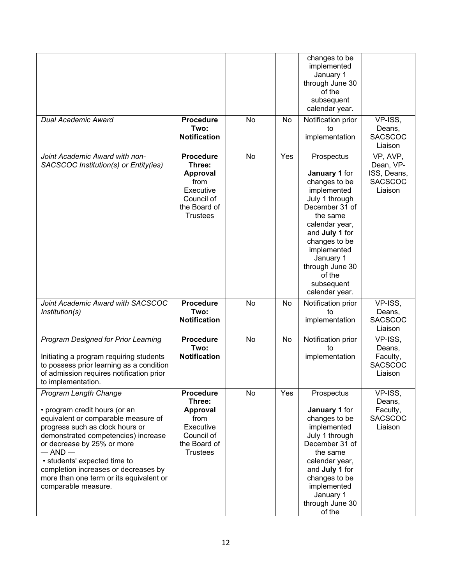| <b>Dual Academic Award</b>                                                                                                                                                                                                                                                                                                                                            | <b>Procedure</b>                                                                                                    | No | No  | changes to be<br>implemented<br>January 1<br>through June 30<br>of the<br>subsequent<br>calendar year.<br>Notification prior                                                                                                                              | VP-ISS,                                                           |
|-----------------------------------------------------------------------------------------------------------------------------------------------------------------------------------------------------------------------------------------------------------------------------------------------------------------------------------------------------------------------|---------------------------------------------------------------------------------------------------------------------|----|-----|-----------------------------------------------------------------------------------------------------------------------------------------------------------------------------------------------------------------------------------------------------------|-------------------------------------------------------------------|
|                                                                                                                                                                                                                                                                                                                                                                       | Two:<br><b>Notification</b>                                                                                         |    |     | to<br>implementation                                                                                                                                                                                                                                      | Deans,<br><b>SACSCOC</b><br>Liaison                               |
| Joint Academic Award with non-<br>SACSCOC Institution(s) or Entity(ies)                                                                                                                                                                                                                                                                                               | <b>Procedure</b><br>Three:<br><b>Approval</b><br>from<br>Executive<br>Council of<br>the Board of<br><b>Trustees</b> | No | Yes | Prospectus<br>January 1 for<br>changes to be<br>implemented<br>July 1 through<br>December 31 of<br>the same<br>calendar year,<br>and July 1 for<br>changes to be<br>implemented<br>January 1<br>through June 30<br>of the<br>subsequent<br>calendar year. | VP, AVP,<br>Dean, VP-<br>ISS, Deans,<br><b>SACSCOC</b><br>Liaison |
| Joint Academic Award with SACSCOC<br>Institution(s)                                                                                                                                                                                                                                                                                                                   | <b>Procedure</b><br>Two:<br><b>Notification</b>                                                                     | No | No  | Notification prior<br>to<br>implementation                                                                                                                                                                                                                | $\overline{VP}$ -ISS,<br>Deans,<br><b>SACSCOC</b><br>Liaison      |
| <b>Program Designed for Prior Learning</b><br>Initiating a program requiring students<br>to possess prior learning as a condition<br>of admission requires notification prior<br>to implementation.                                                                                                                                                                   | <b>Procedure</b><br>Two:<br><b>Notification</b>                                                                     | No | No  | Notification prior<br>to<br>implementation                                                                                                                                                                                                                | VP-ISS,<br>Deans,<br>Faculty,<br><b>SACSCOC</b><br>Liaison        |
| <b>Program Length Change</b><br>• program credit hours (or an<br>equivalent or comparable measure of<br>progress such as clock hours or<br>demonstrated competencies) increase<br>or decrease by 25% or more<br>$-$ AND $-$<br>• students' expected time to<br>completion increases or decreases by<br>more than one term or its equivalent or<br>comparable measure. | <b>Procedure</b><br>Three:<br><b>Approval</b><br>from<br>Executive<br>Council of<br>the Board of<br><b>Trustees</b> | No | Yes | Prospectus<br>January 1 for<br>changes to be<br>implemented<br>July 1 through<br>December 31 of<br>the same<br>calendar year,<br>and July 1 for<br>changes to be<br>implemented<br>January 1<br>through June 30<br>of the                                 | VP-ISS,<br>Deans,<br>Faculty,<br><b>SACSCOC</b><br>Liaison        |